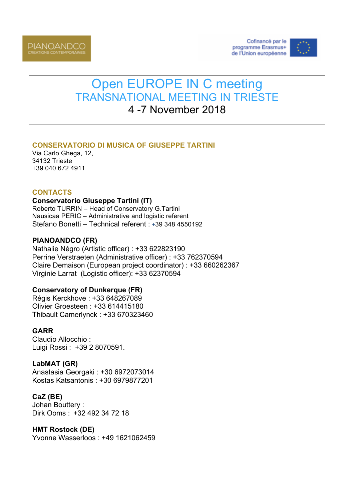



# Open EUROPE IN C meeting TRANSNATIONAL MEETING IN TRIESTE 4 -7 November 2018

# **CONSERVATORIO DI MUSICA OF GIUSEPPE TARTINI**

Via Carlo Ghega, 12, 34132 Trieste +39 040 672 4911

### **CONTACTS**

#### **Conservatorio Giuseppe Tartini (IT)**

Roberto TURRIN – Head of Conservatory G.Tartini Nausicaa PERIC – Administrative and logistic referent Stefano Bonetti – Technical referent : +39 348 4550192

#### **PIANOANDCO (FR)**

Nathalie Négro (Artistic officer) : +33 622823190 Perrine Verstraeten (Administrative officer) : +33 762370594 Claire Demaison (European project coordinator) : +33 660262367 Virginie Larrat (Logistic officer): +33 62370594

#### **Conservatory of Dunkerque (FR)**

Régis Kerckhove : +33 648267089 Olivier Groesteen : +33 614415180 Thibault Camerlynck : +33 670323460

# **GARR**

Claudio Allocchio : Luigi Rossi : +39 2 8070591.

# **LabMAT (GR)**

Anastasia Georgaki : +30 6972073014 Kostas Katsantonis : +30 6979877201

# **CaZ (BE)**

Johan Bouttery : Dirk Ooms : +32 492 34 72 18

# **HMT Rostock (DE)**

Yvonne Wasserloos : +49 1621062459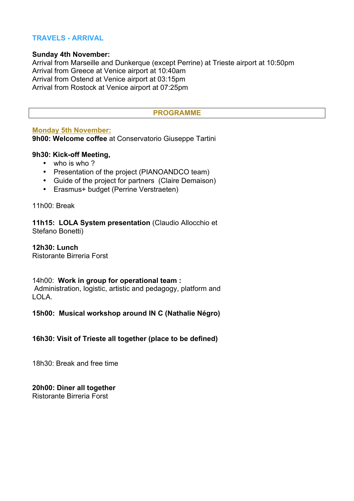# **TRAVELS - ARRIVAL**

#### **Sunday 4th November:**

Arrival from Marseille and Dunkerque (except Perrine) at Trieste airport at 10:50pm Arrival from Greece at Venice airport at 10:40am Arrival from Ostend at Venice airport at 03:15pm Arrival from Rostock at Venice airport at 07:25pm

#### **PROGRAMME**

#### **Monday 5th November:**

**9h00: Welcome coffee** at Conservatorio Giuseppe Tartini

#### **9h30: Kick-off Meeting,**

- who is who?
- Presentation of the project (PIANOANDCO team)
- Guide of the project for partners (Claire Demaison)
- Erasmus+ budget (Perrine Verstraeten)

11h00: Break

**11h15: LOLA System presentation** (Claudio Allocchio et Stefano Bonetti)

**12h30: Lunch** Ristorante Birreria Forst

#### 14h00: **Work in group for operational team :** Administration, logistic, artistic and pedagogy, platform and LOLA.

#### **15h00: Musical workshop around IN C (Nathalie Négro)**

#### **16h30: Visit of Trieste all together (place to be defined)**

18h30: Break and free time

# **20h00: Diner all together**

Ristorante Birreria Forst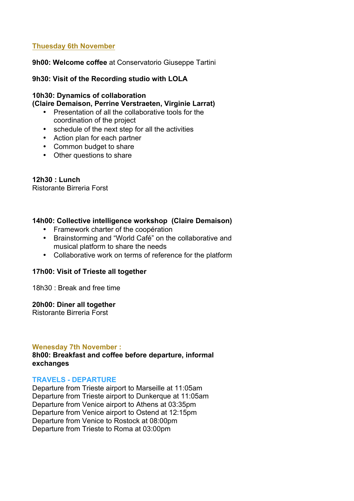# **Thuesday 6th November**

**9h00: Welcome coffee** at Conservatorio Giuseppe Tartini

#### **9h30: Visit of the Recording studio with LOLA**

#### **10h30: Dynamics of collaboration (Claire Demaison, Perrine Verstraeten, Virginie Larrat)**

- Presentation of all the collaborative tools for the coordination of the project
- schedule of the next step for all the activities
- Action plan for each partner
- Common budget to share
- Other questions to share

**12h30 : Lunch** Ristorante Birreria Forst

#### **14h00: Collective intelligence workshop (Claire Demaison)**

- Framework charter of the coopération
- Brainstorming and "World Café" on the collaborative and musical platform to share the needs
- Collaborative work on terms of reference for the platform

#### **17h00: Visit of Trieste all together**

18h30 : Break and free time

#### **20h00: Diner all together**

Ristorante Birreria Forst

#### **Wenesday 7th November :**

**8h00: Breakfast and coffee before departure, informal exchanges**

#### **TRAVELS - DEPARTURE**

Departure from Trieste airport to Marseille at 11:05am Departure from Trieste airport to Dunkerque at 11:05am Departure from Venice airport to Athens at 03:35pm Departure from Venice airport to Ostend at 12:15pm Departure from Venice to Rostock at 08:00pm Departure from Trieste to Roma at 03:00pm